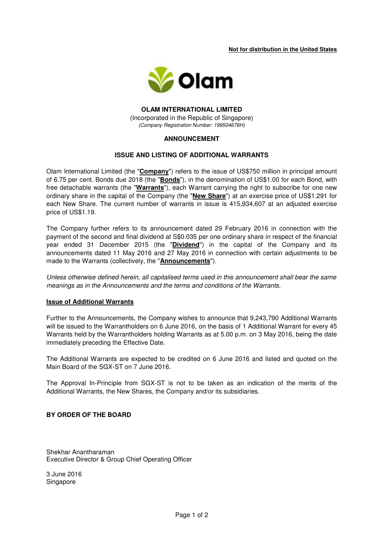**Not for distribution in the United States** 



### **OLAM INTERNATIONAL LIMITED**  (Incorporated in the Republic of Singapore) (Company Registration Number: 199504676H)

## **ANNOUNCEMENT**

## **ISSUE AND LISTING OF ADDITIONAL WARRANTS**

Olam International Limited (the "**Company**") refers to the issue of US\$750 million in principal amount of 6.75 per cent. Bonds due 2018 (the "**Bonds**"), in the denomination of US\$1.00 for each Bond, with free detachable warrants (the "**Warrants**"), each Warrant carrying the right to subscribe for one new ordinary share in the capital of the Company (the "**New Share**") at an exercise price of US\$1.291 for each New Share. The current number of warrants in issue is 415,934,607 at an adjusted exercise price of US\$1.19.

The Company further refers to its announcement dated 29 February 2016 in connection with the payment of the second and final dividend at S\$0.035 per one ordinary share in respect of the financial year ended 31 December 2015 (the "**Dividend**") in the capital of the Company and its announcements dated 11 May 2016 and 27 May 2016 in connection with certain adjustments to be made to the Warrants (collectively, the "**Announcements**").

Unless otherwise defined herein, all capitalised terms used in this announcement shall bear the same meanings as in the Announcements and the terms and conditions of the Warrants.

#### **Issue of Additional Warrants**

Further to the Announcements, the Company wishes to announce that 9,243,790 Additional Warrants will be issued to the Warrantholders on 6 June 2016, on the basis of 1 Additional Warrant for every 45 Warrants held by the Warrantholders holding Warrants as at 5.00 p.m. on 3 May 2016, being the date immediately preceding the Effective Date.

The Additional Warrants are expected to be credited on 6 June 2016 and listed and quoted on the Main Board of the SGX-ST on 7 June 2016.

The Approval In-Principle from SGX-ST is not to be taken as an indication of the merits of the Additional Warrants, the New Shares, the Company and/or its subsidiaries.

# **BY ORDER OF THE BOARD**

Shekhar Anantharaman Executive Director & Group Chief Operating Officer

3 June 2016 Singapore